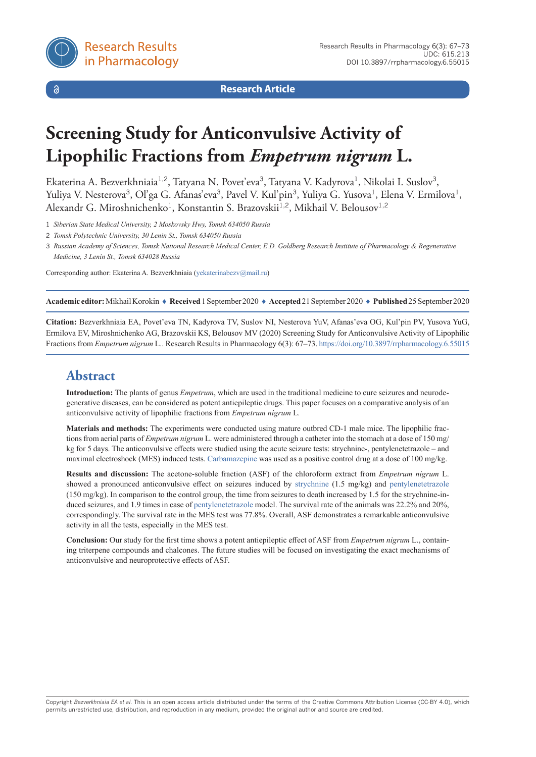

 $\delta$ 

**Research Article**

# **Screening Study for Anticonvulsive Activity of Lipophilic Fractions from** *Empetrum nigrum* **L.**

Ekaterina A. Bezverkhniaia<sup>1,2</sup>, Tatyana N. Povet'eva<sup>3</sup>, Tatyana V. Kadyrova<sup>1</sup>, Nikolai I. Suslov<sup>3</sup>, Yuliya V. Nesterova<sup>3</sup>, Ol'ga G. Afanas'eva<sup>3</sup>, Pavel V. Kul'pin<sup>3</sup>, Yuliya G. Yusova<sup>1</sup>, Elena V. Ermilova<sup>1</sup>, Alexandr G. Miroshnichenko<sup>1</sup>, Konstantin S. Brazovskii<sup>1,2</sup>, Mikhail V. Belousov<sup>1,2</sup>

1 *Siberian State Medical University, 2 Moskovsky Hwy, Tomsk 634050 Russia*

2 *Tomsk Polytechnic University, 30 Lenin St., Tomsk 634050 Russia*

3 *Russian Academy of Sciences, Tomsk National Research Medical Center, E.D. Goldberg Research Institute of Pharmacology & Regenerative Medicine, 3 Lenin St., Tomsk 634028 Russia*

Corresponding author: Ekaterina A. Bezverkhniaia [\(yekaterinabezv@mail.ru\)](mailto:yekaterinabezv@mail.ru)

**Academic editor:** Mikhail Korokin ♦ **Received** 1 September 2020 ♦ **Accepted** 21 September 2020 ♦ **Published** 25 September 2020

**Citation:** Bezverkhniaia EA, Povet'eva TN, Kadyrova TV, Suslov NI, Nesterova YuV, Afanas'eva OG, Kul'pin PV, Yusova YuG, Ermilova EV, Miroshnichenko AG, Brazovskii KS, Belousov MV (2020) Screening Study for Anticonvulsive Activity of Lipophilic Fractions from *Empetrum nigrum* L.. Research Results in Pharmacology 6(3): 67–73. [https://doi.org/10](https://doi.org/%18).3897/rrpharmacology.6.55015

# **Abstract**

**Introduction:** The plants of genus *Empetrum*, which are used in the traditional medicine to cure seizures and neurodegenerative diseases, can be considered as potent antiepileptic drugs. This paper focuses on a comparative analysis of an anticonvulsive activity of lipophilic fractions from *Empetrum nigrum* L*.*

**Materials and methods:** The experiments were conducted using mature outbred CD-1 male mice. The lipophilic fractions from aerial parts of *Empetrum nigrum* L. were administered through a catheter into the stomach at a dose of 150 mg/ kg for 5 days. The anticonvulsive effects were studied using the acute seizure tests: strychnine-, pentylenetetrazole – and maximal electroshock (MES) induced tests. [Carbamazepine](https://pubchem.ncbi.nlm.nih.gov/compound/Carbamazepine) was used as a positive control drug at a dose of 100 mg/kg.

**Results and discussion:** The acetone-soluble fraction (ASF) of the chloroform extract from *Empetrum nigrum* L. showed a pronounced anticonvulsive effect on seizures induced by [strychnine](https://pubchem.ncbi.nlm.nih.gov/compound/Strychnine) (1.5 mg/kg) and [pentylenetetrazole](https://pubchem.ncbi.nlm.nih.gov/compound/Pentetrazol)   $(150 \text{ mg/kg})$ . In comparison to the control group, the time from seizures to death increased by 1.5 for the strychnine-induced seizures, and 1.9 times in case of [pentylenetetrazole](https://pubchem.ncbi.nlm.nih.gov/compound/Pentetrazol) model. The survival rate of the animals was 22.2% and 20%, correspondingly. The survival rate in the MES test was 77.8%. Overall, ASF demonstrates a remarkable anticonvulsive activity in all the tests, especially in the MES test.

**Conclusion:** Our study for the first time shows a potent antiepileptic effect of ASF from *Empetrum nigrum* L., containing triterpene compounds and chalcones. The future studies will be focused on investigating the exact mechanisms of anticonvulsive and neuroprotective effects of ASF.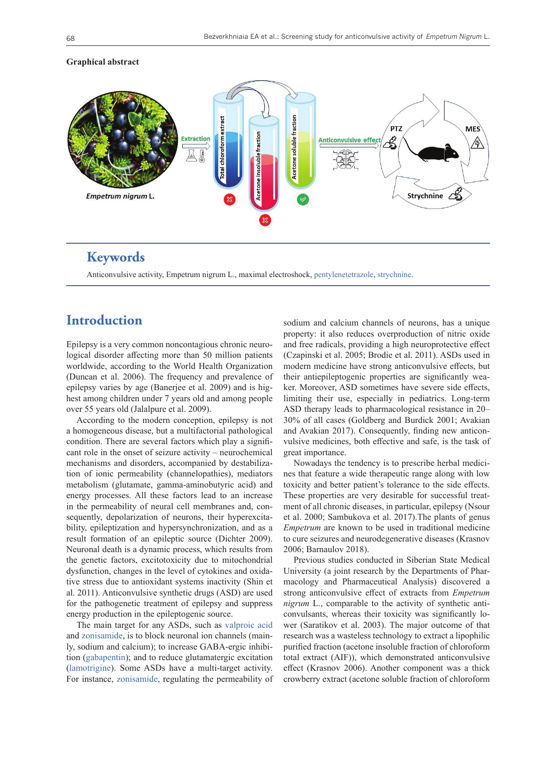

#### **Graphical abstract**

### **Keywords**

Anticonvulsive activity, Empetrum nigrum L., maximal electroshock, [pentylenetetrazole,](https://pubchem.ncbi.nlm.nih.gov/compound/Pentetrazol) [strychnine.](https://pubchem.ncbi.nlm.nih.gov/compound/Strychnine)

## **Introduction**

Epilepsy is a very common noncontagious chronic neurological disorder affecting more than 50 million patients worldwide, according to the World Health Organization (Duncan et al. 2006). The frequency and prevalence of epilepsy varies by age (Banerjee et al. 2009) and is highest among children under 7 years old and among people over 55 years old (Jalalpure et al. 2009).

According to the modern conception, epilepsy is not a homogeneous disease, but a multifactorial pathological condition. There are several factors which play a significant role in the onset of seizure activity – neurochemical mechanisms and disorders, accompanied by destabilization of ionic permeability (channelopathies), mediators metabolism (glutamate, gamma-aminobutyric acid) and energy processes. All these factors lead to an increase in the permeability of neural cell membranes and, consequently, depolarization of neurons, their hyperexcitability, epileptization and hypersynchronization, and as a result formation of an epileptic source (Dichter 2009). Neuronal death is a dynamic process, which results from the genetic factors, excitotoxicity due to mitochondrial dysfunction, changes in the level of cytokines and oxidative stress due to antioxidant systems inactivity (Shin et al. 2011). Anticonvulsive synthetic drugs (ASD) are used for the pathogenetic treatment of epilepsy and suppress energy production in the epileptogenic source.

The main target for any ASDs, such as [valproic acid](https://pubchem.ncbi.nlm.nih.gov/compound/Valproic-acid) and [zonisamide](https://pubchem.ncbi.nlm.nih.gov/compound/Zonisamide), is to block neuronal ion channels (mainly, sodium and calcium); to increase GABA-ergic inhibition [\(gabapentin](https://pubchem.ncbi.nlm.nih.gov/compound/Gabapentin)); and to reduce glutamatergic excitation [\(lamotrigine](https://pubchem.ncbi.nlm.nih.gov/compound/Lamotrigine)). Some ASDs have a multi-target activity. For instance, [zonisamide](https://pubchem.ncbi.nlm.nih.gov/compound/Zonisamide), regulating the permeability of

sodium and calcium channels of neurons, has a unique property: it also reduces overproduction of nitric oxide and free radicals, providing a high neuroprotective effect (Czapinski et al. 2005; Brodie et al. 2011). ASDs used in modern medicine have strong anticonvulsive effects, but their antiepileptogenic properties are significantly weaker. Moreover, ASD sometimes have severe side effects, limiting their use, especially in pediatrics. Long-term ASD therapy leads to pharmacological resistance in 20– 30% of all cases (Goldberg and Burdick 2001; Avakian and Avakian 2017). Consequently, finding new anticonvulsive medicines, both effective and safe, is the task of great importance.

Nowadays the tendency is to prescribe herbal medicines that feature a wide therapeutic range along with low toxicity and better patient's tolerance to the side effects. These properties are very desirable for successful treatment of all chronic diseases, in particular, epilepsy (Nsour et al. 2000; Sambukova et al. 2017).The plants of genus *Empetrum* are known to be used in traditional medicine to cure seizures and neurodegenerative diseases (Krasnov 2006; Barnaulov 2018).

Previous studies conducted in Siberian State Medical University (a joint research by the Departments of Pharmacology and Pharmaceutical Analysis) discovered a strong anticonvulsive effect of extracts from *Empetrum nigrum* L., comparable to the activity of synthetic anticonvulsants, whereas their toxicity was significantly lower (Saratikov et al. 2003). The major outcome of that research was a wasteless technology to extract a lipophilic purified fraction (acetone insoluble fraction of chloroform total extract (AIF)), which demonstrated anticonvulsive effect (Krasnov 2006). Another component was a thick crowberry extract (acetone soluble fraction of chloroform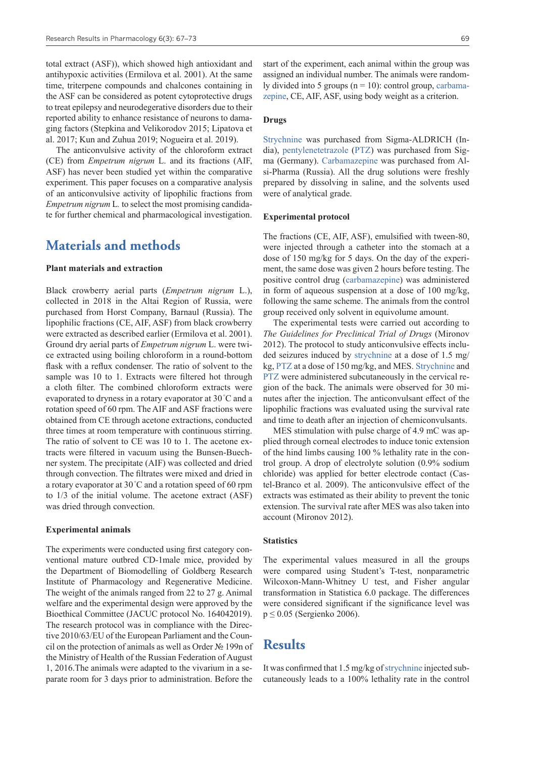total extract (ASF)), which showed high antioxidant and antihypoxic activities (Ermilova et al. 2001). At the same time, triterpene compounds and chalcones containing in the ASF can be considered as potent cytoprotective drugs to treat epilepsy and neurodegerative disorders due to their reported ability to enhance resistance of neurons to damaging factors (Stepkina and Velikorodov 2015; Lipatova et al. 2017; Kun and Zuhua 2019; Nogueira et al. 2019).

The anticonvulsive activity of the chloroform extract (CE) from *Empetrum nigrum* L. and its fractions (AIF, ASF) has never been studied yet within the comparative experiment. This paper focuses on a comparative analysis of an anticonvulsive activity of lipophilic fractions from *Empetrum nigrum* L*.* to select the most promising candidate for further chemical and pharmacological investigation.

### **Materials and methods**

#### **Plant materials and extraction**

Black crowberry aerial parts (*Empetrum nigrum* L.), collected in 2018 in the Altai Region of Russia, were purchased from Horst Company, Barnaul (Russia). The lipophilic fractions (CE, AIF, ASF) from black crowberry were extracted as described earlier (Ermilova et al. 2001). Ground dry aerial parts of *Empetrum nigrum* L. were twice extracted using boiling chloroform in a round-bottom flask with a reflux condenser. The ratio of solvent to the sample was 10 to 1. Extracts were filtered hot through a cloth filter. The combined chloroform extracts were evaporated to dryness in a rotary evaporator at 30 °C and a rotation speed of 60 rpm. The AIF and ASF fractions were obtained from CE through acetone extractions, conducted three times at room temperature with continuous stirring. The ratio of solvent to CE was 10 to 1. The acetone extracts were filtered in vacuum using the Bunsen-Buechner system. The precipitate (AIF) was collected and dried through convection. The filtrates were mixed and dried in a rotary evaporator at  $30^{\circ}$ C and a rotation speed of 60 rpm to 1/3 of the initial volume. The acetone extract (ASF) was dried through convection.

#### **Experimental animals**

The experiments were conducted using first category conventional mature outbred CD-1male mice, provided by the Department of Biomodelling of Goldberg Research Institute of Pharmacology and Regenerative Medicine. The weight of the animals ranged from 22 to 27 g. Animal welfare and the experimental design were approved by the Bioethical Committee (JACUC protocol No. 164042019). The research protocol was in compliance with the Directive 2010/63/EU of the European Parliament and the Council on the protection of animals as well as Order № 199n of the Ministry of Health of the Russian Federation of August 1, 2016.The animals were adapted to the vivarium in a separate room for 3 days prior to administration. Before the

start of the experiment, each animal within the group was assigned an individual number. The animals were randomly divided into 5 groups ( $n = 10$ ): control group, [carbama](https://pubchem.ncbi.nlm.nih.gov/compound/Carbamazepine)[zepine,](https://pubchem.ncbi.nlm.nih.gov/compound/Carbamazepine) CE, AIF, ASF, using body weight as a criterion.

#### **Drugs**

[Strychnine](https://pubchem.ncbi.nlm.nih.gov/compound/Strychnine) was purchased from Sigma-ALDRICH (India), [pentylenetetrazole](https://pubchem.ncbi.nlm.nih.gov/compound/Pentetrazol) [\(PTZ\)](https://pubchem.ncbi.nlm.nih.gov/compound/Pentetrazol) was purchased from Sigma (Germany). [Carbamazepine](https://pubchem.ncbi.nlm.nih.gov/compound/Carbamazepine) was purchased from Alsi-Pharma (Russia). All the drug solutions were freshly prepared by dissolving in saline, and the solvents used were of analytical grade.

#### **Experimental protocol**

The fractions (CE, AIF, ASF), emulsified with tween-80, were injected through a catheter into the stomach at a dose of 150 mg/kg for 5 days. On the day of the experiment, the same dose was given 2 hours before testing. The positive control drug [\(carbamazepine](https://pubchem.ncbi.nlm.nih.gov/compound/Carbamazepine)) was administered in form of aqueous suspension at a dose of 100 mg/kg, following the same scheme. The animals from the control group received only solvent in equivolume amount.

The experimental tests were carried out according to *The Guidelines for Preclinical Trial of Drugs* (Mironov 2012). The protocol to study anticonvulsive effects included seizures induced by [strychnine](https://pubchem.ncbi.nlm.nih.gov/compound/Strychnine) at a dose of 1.5 mg/ kg, [PTZ](https://pubchem.ncbi.nlm.nih.gov/compound/Pentetrazol) at a dose of 150 mg/kg, and MES. [Strychnine](https://pubchem.ncbi.nlm.nih.gov/compound/Strychnine) and [PTZ](https://pubchem.ncbi.nlm.nih.gov/compound/Pentetrazol) were administered subcutaneously in the cervical region of the back. The animals were observed for 30 minutes after the injection. The anticonvulsant effect of the lipophilic fractions was evaluated using the survival rate and time to death after an injection of chemiconvulsants.

MES stimulation with pulse charge of 4.9 mC was applied through corneal electrodes to induce tonic extension of the hind limbs causing 100 % lethality rate in the control group. A drop of electrolyte solution (0.9% sodium chloride) was applied for better electrode contact (Castel-Branco et al. 2009). The anticonvulsive effect of the extracts was estimated as their ability to prevent the tonic extension. The survival rate after MES was also taken into account (Mironov 2012).

#### **Statistics**

The experimental values measured in all the groups were compared using Student's T-test, nonparametric Wilcoxon-Mann-Whitney U test, and Fisher angular transformation in Statistica 6.0 package. The differences were considered significant if the significance level was  $p \le 0.05$  (Sergienko 2006).

### **Results**

It was confirmed that 1.5 mg/kg of [strychnine](https://pubchem.ncbi.nlm.nih.gov/compound/Strychnine) injected subcutaneously leads to a 100% lethality rate in the control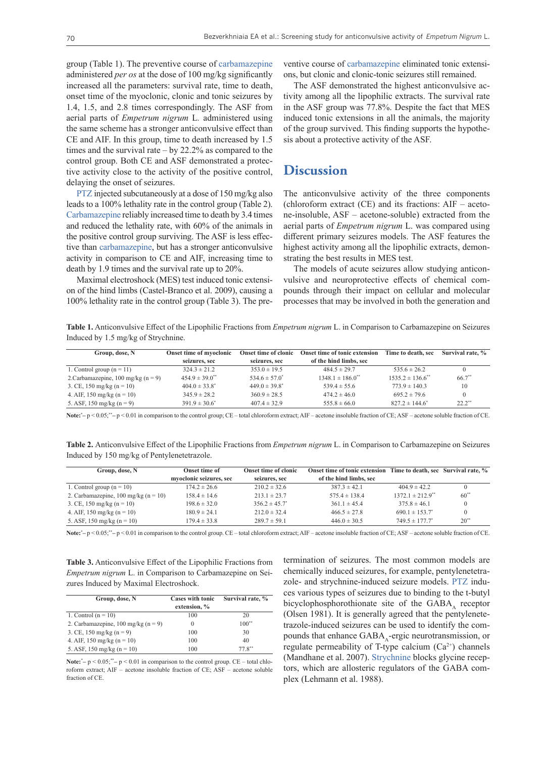group (Table 1). The preventive course of [carbamazepine](https://pubchem.ncbi.nlm.nih.gov/compound/Carbamazepine) administered *per os* at the dose of 100 mg/kg significantly increased all the parameters: survival rate, time to death, onset time of the myoclonic, clonic and tonic seizures by 1.4, 1.5, and 2.8 times correspondingly. The ASF from aerial parts of *Empetrum nigrum* L*.* administered using the same scheme has a stronger anticonvulsive effect than CE and AIF. In this group, time to death increased by 1.5 times and the survival rate – by 22.2% as compared to the control group. Both CE and ASF demonstrated a protective activity close to the activity of the positive control, delaying the onset of seizures.

[PTZ](https://pubchem.ncbi.nlm.nih.gov/compound/Pentetrazol) injected subcutaneously at a dose of 150 mg/kg also leads to a 100% lethality rate in the control group (Table 2). [Carbamazepine](https://pubchem.ncbi.nlm.nih.gov/compound/Carbamazepine) reliably increased time to death by 3.4 times and reduced the lethality rate, with 60% of the animals in the positive control group surviving. The ASF is less effective than [carbamazepine,](https://pubchem.ncbi.nlm.nih.gov/compound/Carbamazepine) but has a stronger anticonvulsive activity in comparison to CE and AIF, increasing time to death by 1.9 times and the survival rate up to 20%.

Maximal electroshock (MES) test induced tonic extension of the hind limbs (Castel-Branco et al. 2009), causing a 100% lethality rate in the control group (Table 3). The pre-

ventive course of [carbamazepine](https://pubchem.ncbi.nlm.nih.gov/compound/Carbamazepine) eliminated tonic extensions, but clonic and clonic-tonic seizures still remained.

The ASF demonstrated the highest anticonvulsive activity among all the lipophilic extracts. The survival rate in the ASF group was 77.8%. Despite the fact that MES induced tonic extensions in all the animals, the majority of the group survived. This finding supports the hypothesis about a protective activity of the ASF.

### **Discussion**

The anticonvulsive activity of the three components (chloroform extract (CE) and its fractions: AIF – acetone-insoluble, ASF – acetone-soluble) extracted from the aerial parts of *Empetrum nigrum* L. was compared using different primary seizures models. The ASF features the highest activity among all the lipophilic extracts, demonstrating the best results in MES test.

The models of acute seizures allow studying anticonvulsive and neuroprotective effects of chemical compounds through their impact on cellular and molecular processes that may be involved in both the generation and

**Table 1.** Anticonvulsive Effect of the Lipophilic Fractions from *Empetrum nigrum* L. in Comparison to Carbamazepine on Seizures Induced by 1.5 mg/kg of Strychnine.

| Group, dose, N                                | Onset time of myoclonic        | <b>Onset time of clonic</b> | <b>Onset time of tonic extension</b> | Time to death, sec               | Survival rate, %     |
|-----------------------------------------------|--------------------------------|-----------------------------|--------------------------------------|----------------------------------|----------------------|
|                                               | seizures, sec                  | seizures, sec               | of the hind limbs, sec               |                                  |                      |
| 1. Control group $(n = 11)$                   | $324.3 \pm 21.2$               | $353.0 \pm 19.5$            | $484.5 \pm 29.7$                     | $535.6 \pm 26.2$                 |                      |
| 2. Carbamazepine, $100 \text{ mg/kg}$ (n = 9) | $454.9 \pm 39.0$ <sup>**</sup> | $534.6 \pm 57.0^*$          | $1348.1 \pm 186.0$ <sup>**</sup>     | $1535.2 \pm 136.6$ <sup>**</sup> | $66.7**$             |
| 3. CE, 150 mg/kg (n = 10)                     | $404.0 \pm 33.8^*$             | $449.0 \pm 39.8^*$          | $539.4 \pm 55.6$                     | $773.9 \pm 140.3$                | 10                   |
| 4. AIF, 150 mg/kg (n = 10)                    | $345.9 \pm 28.2$               | $360.9 \pm 28.5$            | $474.2 \pm 46.0$                     | $695.2 \pm 79.6$                 |                      |
| 5. ASF, 150 mg/kg $(n = 9)$                   | $391.9 \pm 30.6^*$             | $407.4 \pm 32.9$            | $555.8 \pm 66.0$                     | $827.2 \pm 144.6^*$              | $22.2$ <sup>**</sup> |

**Note:**\* **–** p < 0.05;\*\***–** p < 0.01 in comparison to the control group; CE – total chloroform extract; AIF – acetone insoluble fraction of CE; ASF – acetone soluble fraction of CE.

**Table 2.** Anticonvulsive Effect of the Lipophilic Fractions from *Empetrum nigrum* L. in Comparison to Carbamazepine on Seizures Induced by 150 mg/kg of Pentylenetetrazole.

| Group, dose, N                                 | <b>Onset time of</b>    | <b>Onset time of clonic</b> | Onset time of tonic extension Time to death, sec Survival rate, % |                                  |           |
|------------------------------------------------|-------------------------|-----------------------------|-------------------------------------------------------------------|----------------------------------|-----------|
|                                                | myoclonic seizures, sec | seizures, sec               | of the hind limbs, sec                                            |                                  |           |
| 1. Control group $(n = 10)$                    | $174.2 \pm 26.6$        | $210.2 \pm 32.6$            | $387.3 \pm 42.1$                                                  | $404.9 \pm 42.2$                 |           |
| 2. Carbamazepine, $100 \text{ mg/kg}$ (n = 10) | $158.4 \pm 14.6$        | $213.1 \pm 23.7$            | $575.4 \pm 138.4$                                                 | $1372.1 \pm 212.9$ <sup>**</sup> | $60^{**}$ |
| 3. CE, 150 mg/kg (n = 10)                      | $198.6 \pm 32.0$        | $356.2 \pm 45.7^*$          | $361.1 \pm 45.4$                                                  | $375.8 \pm 46.1$                 |           |
| 4. AIF, 150 mg/kg ( $n = 10$ )                 | $180.9 \pm 24.1$        | $212.0 \pm 32.4$            | $466.5 \pm 27.8$                                                  | $690.1 \pm 153.7^*$              |           |
| 5. ASF, 150 mg/kg ( $n = 10$ )                 | $179.4 \pm 33.8$        | $289.7 \pm 59.1$            | $446.0 \pm 30.5$                                                  | $749.5 \pm 177.7$ <sup>*</sup>   | $20^{**}$ |

**Note:**\* **–** p < 0.05;\*\***–** p < 0.01 in comparison to the control group. CE – total chloroform extract; AIF – acetone insoluble fraction of CE; ASF – acetone soluble fraction of CE.

**Table 3.** Anticonvulsive Effect of the Lipophilic Fractions from *Empetrum nigrum* L. in Comparison to Carbamazepine on Seizures Induced by Maximal Electroshock.

| Group, dose, N                      | <b>Cases with tonic</b><br>extension, % | Survival rate, % |
|-------------------------------------|-----------------------------------------|------------------|
| 1. Control $(n = 10)$               | 100                                     | 20               |
| 2. Carbamazepine, 100 mg/kg (n = 9) | $\theta$                                | $100**$          |
| 3. CE, 150 mg/kg $(n = 9)$          | 100                                     | 30               |
| 4. AIF, 150 mg/kg ( $n = 10$ )      | 100                                     | 40               |
| 5. ASF, 150 mg/kg $(n = 10)$        | 100                                     | $77.8***$        |

**Note:**\* **–** p < 0.05;\*\***–** p < 0.01 in comparison to the control group. CE – total chloroform extract; AIF – acetone insoluble fraction of CE; ASF – acetone soluble fraction of CE.

termination of seizures. The most common models are chemically induced seizures, for example, pentylenetetrazole- and strychnine-induced seizure models. [PTZ](https://pubchem.ncbi.nlm.nih.gov/compound/Pentetrazol) induces various types of seizures due to binding to the t-butyl bicyclophosphorothionate site of the  $GABA_A$  receptor (Olsen 1981). It is generally agreed that the pentylenetetrazole-induced seizures can be used to identify the compounds that enhance  $\text{GABA}_\text{A}$ -ergic neurotransmission, or regulate permeability of T-type calcium  $(Ca^{2+})$  channels (Mandhane et al. 2007). [Strychnine](https://pubchem.ncbi.nlm.nih.gov/compound/Strychnine) blocks glycine receptors, which are allosteric regulators of the GABA complex (Lehmann et al. 1988).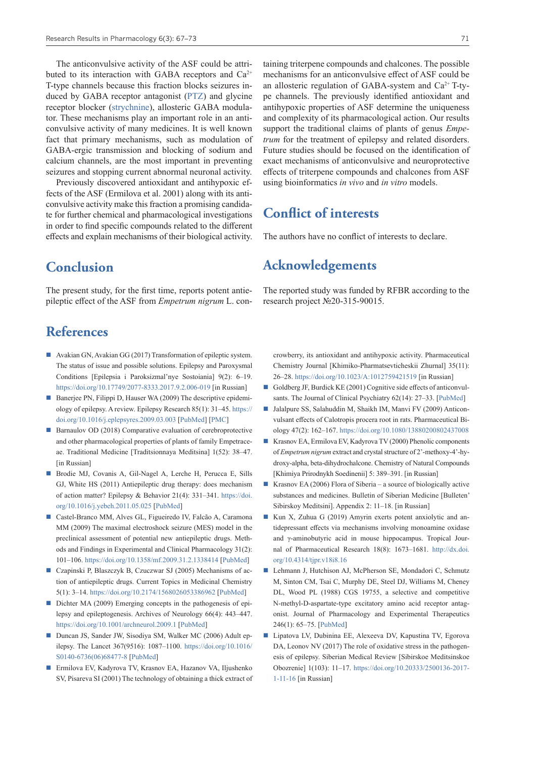The anticonvulsive activity of the ASF could be attributed to its interaction with GABA receptors and  $Ca^{2+}$ T-type channels because this fraction blocks seizures induced by GABA receptor antagonist [\(PTZ\)](https://pubchem.ncbi.nlm.nih.gov/compound/Pentetrazol) and glycine receptor blocker [\(strychnine\)](https://pubchem.ncbi.nlm.nih.gov/compound/Strychnine), allosteric GABA modulator. These mechanisms play an important role in an anticonvulsive activity of many medicines. It is well known fact that primary mechanisms, such as modulation of GABA-ergic transmission and blocking of sodium and calcium channels, are the most important in preventing seizures and stopping current abnormal neuronal activity.

Previously discovered antioxidant and antihypoxic effects of the ASF (Ermilova et al. 2001) along with its anticonvulsive activity make this fraction a promising candidate for further chemical and pharmacological investigations in order to find specific compounds related to the different effects and explain mechanisms of their biological activity.

**Conclusion**

The present study, for the first time, reports potent antiepileptic effect of the ASF from *Empetrum nigrum* L. con-

# **References**

- Avakian GN, Avakian GG (2017) Transformation of epileptic system. The status of issue and possible solutions. Epilepsy and Paroxysmal Conditions [Epilepsia i Paroksizmal'nye Sostoiania] 9(2): 6–19. <https://doi.org/10.17749/2077-8333.2017.9.2.006-019>[in Russian]
- Banerjee PN, Filippi D, Hauser WA (2009) The descriptive epidemiology of epilepsy. A review. Epilepsy Research 85(1): 31–45. [https://](https://doi.org/10.1016/j.eplepsyres.2009.03.003) [doi.org/10.1016/j.eplepsyres.2009.03.003](https://doi.org/10.1016/j.eplepsyres.2009.03.003) [\[PubMed](https://pubmed.ncbi.nlm.nih.gov/19369037/)] [[PMC\]](https://www.ncbi.nlm.nih.gov/pmc/articles/PMC2696575/)
- Barnaulov OD (2018) Comparative evaluation of cerebroprotective and other pharmacological properties of plants of family Empetraceae. Traditional Medicine [Traditsionnaya Meditsina] 1(52): 38–47. [in Russian]
- Brodie MJ, Covanis A, Gil-Nagel A, Lerche H, Perucca E, Sills GJ, White HS (2011) Antiepileptic drug therapy: does mechanism of action matter? Epilepsy & Behavior 21(4): 331–341. [https://doi.](https://doi.org/10.1016/j.yebeh.2011.05.025) [org/10.1016/j.yebeh.2011.05.025](https://doi.org/10.1016/j.yebeh.2011.05.025) [\[PubMed](https://pubmed.ncbi.nlm.nih.gov/21622027/)]
- Castel-Branco MM, Alves GL, Figueiredo IV, Falcão A, Caramona MM (2009) The maximal electroshock seizure (MES) model in the preclinical assessment of potential new antiepileptic drugs. Methods and Findings in Experimental and Clinical Pharmacology 31(2): 101–106.<https://doi.org/10.1358/mf.2009.31.2.1338414>[\[PubMed](https://pubmed.ncbi.nlm.nih.gov/19455265/)]
- Czapinski P, Blaszczyk B, Czuczwar SJ (2005) Mechanisms of action of antiepileptic drugs. Current Topics in Medicinal Chemistry 5(1): 3–14. <https://doi.org/10.2174/1568026053386962> [[PubMed](https://pubmed.ncbi.nlm.nih.gov/15638774/)]
- Dichter MA (2009) Emerging concepts in the pathogenesis of epilepsy and epileptogenesis. Archives of Neurology 66(4): 443–447. <https://doi.org/10.1001/archneurol.2009.1>[[PubMed\]](https://pubmed.ncbi.nlm.nih.gov/19364928/)
- Duncan JS, Sander JW, Sisodiya SM, Walker MC (2006) Adult epilepsy. The Lancet 367(9516): 1087–1100. [https://doi.org/10.1016/](https://doi.org/10.1016/S0140-6736(06)68477-8) [S0140-6736\(06\)68477-8](https://doi.org/10.1016/S0140-6736(06)68477-8) [\[PubMed](https://pubmed.ncbi.nlm.nih.gov/16581409/)]
- Ermilova EV, Kadyrova TV, Krasnov EA, Hazanov VA, Iljushenko SV, Pisareva SI (2001) The technology of obtaining a thick extract of

taining triterpene compounds and chalcones. The possible mechanisms for an anticonvulsive effect of ASF could be an allosteric regulation of GABA-system and  $Ca^{2+}$  T-type channels. The previously identified antioxidant and antihypoxic properties of ASF determine the uniqueness and complexity of its pharmacological action. Our results support the traditional claims of plants of genus *Empetrum* for the treatment of epilepsy and related disorders. Future studies should be focused on the identification of exact mechanisms of anticonvulsive and neuroprotective effects of triterpene compounds and chalcones from ASF using bioinformatics *in vivo* and *in vitro* models.

# **Conflict of interests**

The authors have no conflict of interests to declare.

# **Acknowledgements**

The reported study was funded by RFBR according to the research project №20-315-90015.

crowberry, its antioxidant and antihypoxic activity. Pharmaceutical Chemistry Journal [Khimiko-Pharmatsevticheskii Zhurnal] 35(11): 26–28. <https://doi.org/10.1023/A:1012759421519> [in Russian]

- Goldberg JF, Burdick KE (2001) Cognitive side effects of anticonvulsants. The Journal of Clinical Psychiatry 62(14): 27–33. [\[PubMed\]](https://pubmed.ncbi.nlm.nih.gov/11469672/)
- Jalalpure SS, Salahuddin M, Shaikh IM, Manvi FV (2009) Anticonvulsant effects of Calotropis procera root in rats. Pharmaceutical Biology 47(2): 162–167.<https://doi.org/10.1080/13880200802437008>
- Krasnov EA, Ermilova EV, Kadyrova TV (2000) Phenolic components of *Empetrum nigrum* extract and crystal structure of 2'-methoxy-4'-hydroxy-alpha, beta-dihydrochalcone. Chemistry of Natural Compounds [Khimiya Prirodnykh Soedinenii] 5: 389–391. [in Russian]
- **Krasnov EA** (2006) Flora of Siberia a source of biologically active substances and medicines. Bulletin of Siberian Medicine [Bulleten' Sibirskoy Meditsini]. Appendix 2: 11–18. [in Russian]
- Kun X, Zuhua G (2019) Amyrin exerts potent anxiolytic and antidepressant effects via mechanisms involving monoamine oxidase and γ-aminobutyric acid in mouse hippocampus. Tropical Journal of Pharmaceutical Research 18(8): 1673–1681. [http://dx.doi.](http://dx.doi.org/10.4314/tjpr.v18i8.16) [org/10.4314/tjpr.v18i8.16](http://dx.doi.org/10.4314/tjpr.v18i8.16)
- Lehmann J, Hutchison AJ, McPherson SE, Mondadori C, Schmutz M, Sinton CM, Tsai C, Murphy DE, Steel DJ, Williams M, Cheney DL, Wood PL (1988) CGS 19755, a selective and competitive N-methyl-D-aspartate-type excitatory amino acid receptor antagonist. Journal of Pharmacology and Experimental Therapeutics 246(1): 65–75. [[PubMed\]](https://pubmed.ncbi.nlm.nih.gov/2899170/)
- Lipatova LV, Dubinina EE, Alexeeva DV, Kapustina TV, Egorova DA, Leonov NV (2017) The role of oxidative stress in the pathogenesis of epilepsy. Siberian Medical Review [Sibirskoe Meditsinskoe Obozrenie] 1(103): 11–17. [https://doi.org/10.20333/2500136-2017-](https://doi.org/10.20333/2500136-2017-1-11-16) [1-11-16](https://doi.org/10.20333/2500136-2017-1-11-16) [in Russian]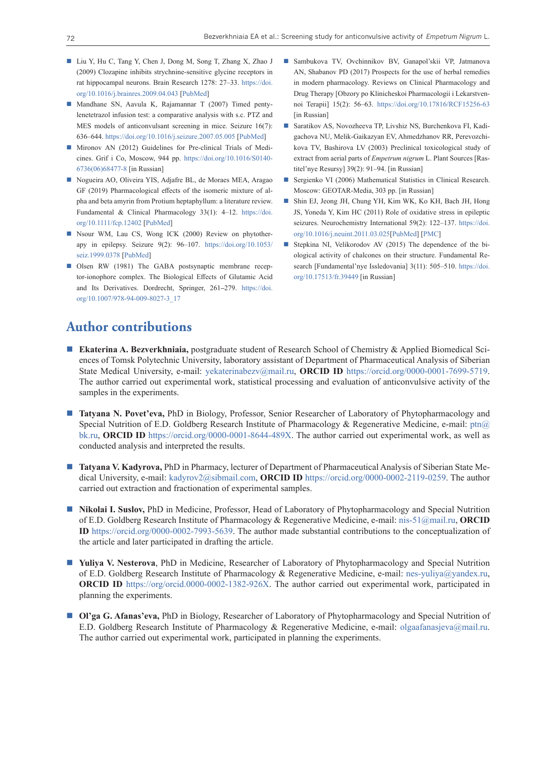- Liu Y, Hu C, Tang Y, Chen J, Dong M, Song T, Zhang X, Zhao J (2009) Clozapine inhibits strychnine-sensitive glycine receptors in rat hippocampal neurons. Brain Research 1278: 27–33. [https://doi.](https://doi.org/10.1016/j.brainres.2009.04.043) [org/10.1016/j.brainres.2009.04.043](https://doi.org/10.1016/j.brainres.2009.04.043) [[PubMed\]](https://pubmed.ncbi.nlm.nih.gov/19409375/)
- Mandhane SN, Aavula K, Rajamannar T (2007) Timed pentylenetetrazol infusion test: a comparative analysis with s.c. PTZ and MES models of anticonvulsant screening in mice. Seizure 16(7): 636–644.<https://doi.org/10.1016/j.seizure.2007.05.005> [[PubMed](https://pubmed.ncbi.nlm.nih.gov/17570689/)]
- Mironov AN (2012) Guidelines for Pre-clinical Trials of Medicines. Grif i Co, Moscow, 944 pp. [https://doi.org/10.1016/S0140-](https://doi.org/10.1016/S0140-6736(06)68477-8) [6736\(06\)68477-8](https://doi.org/10.1016/S0140-6736(06)68477-8) [in Russian]
- Nogueira AO, Oliveira YIS, Adjafre BL, de Moraes MEA, Aragao GF (2019) Pharmacological effects of the isomeric mixture of alpha and beta amyrin from Protium heptaphyllum: a literature review. Fundamental & Clinical Pharmacology 33(1): 4–12. [https://doi.](https://doi.org/10.1111/fcp.12402) [org/10.1111/fcp.12402](https://doi.org/10.1111/fcp.12402) [[PubMed](https://pubmed.ncbi.nlm.nih.gov/30003594/)]
- Nsour WM, Lau CS, Wong ICK (2000) Review on phytotherapy in epilepsy. Seizure 9(2): 96–107. [https://doi.org/10.1053/](https://doi.org/10.1053/seiz.1999.0378) [seiz.1999.0378](https://doi.org/10.1053/seiz.1999.0378) [\[PubMed](https://pubmed.ncbi.nlm.nih.gov/10845732/)]
- Olsen RW (1981) The GABA postsynaptic membrane receptor-ionophore complex. The Biological Effects of Glutamic Acid and Its Derivatives. Dordrecht, Springer, 261**–**279. [https://doi.](https://doi.org/10.1007/978-94-009-8027-3_17) [org/10.1007/978-94-009-8027-3\\_17](https://doi.org/10.1007/978-94-009-8027-3_17)
- Sambukova TV, Ovchinnikov BV, Ganapol'skii VP, Jatmanova AN, Shabanov PD (2017) Prospects for the use of herbal remedies in modern pharmacology. Reviews on Clinical Pharmacology and Drug Therapy [Obzory po Klinicheskoi Pharmacologii i Lekarstvennoi Terapii] 15(2): 56–63. <https://doi.org/10.17816/RCF15256-63> [in Russian]
- Saratikov AS, Novozheeva TP, Livshiz NS, Burchenkova FI, Kadigachova NU, Melik-Gaikazyan EV, Ahmedzhanov RR, Perevozchikova TV, Bashirova LV (2003) Preclinical toxicological study of extract from aerial parts of *Empetrum nigrum* L. Plant Sources [Rastitel'nye Resursy] 39(2): 91–94. [in Russian]
- Sergienko VI (2006) Mathematical Statistics in Clinical Research. Moscow: GEOTAR-Media, 303 pp. [in Russian]
- Shin EJ, Jeong JH, Chung YH, Kim WK, Ko KH, Bach JH, Hong JS, Yoneda Y, Kim HC (2011) Role of oxidative stress in epileptic seizures. Neurochemistry International 59(2): 122–137. [https://doi.](https://doi.org/10.1016/j.neuint.2011.03.025) [org/10.1016/j.neuint.2011.03.025](https://doi.org/10.1016/j.neuint.2011.03.025)[[PubMed\]](https://pubmed.ncbi.nlm.nih.gov/21672578/) [\[PMC](https://www.ncbi.nlm.nih.gov/pmc/articles/PMC3606551/)]
- Stepkina NI, Velikorodov AV (2015) The dependence of the biological activity of chalcones on their structure. Fundamental Research [Fundamental'nye Issledovania] 3(11): 505–510. [https://doi.](https://doi.org/10.17513/fr.39449) [org/10.17513/fr.39449](https://doi.org/10.17513/fr.39449) [in Russian]

### **Author contributions**

- **Ekaterina A. Bezverkhniaia,** postgraduate student of Research School of Chemistry & Applied Biomedical Sciences of Tomsk Polytechnic University, laboratory assistant of Department of Pharmaceutical Analysis of Siberian State Medical University, e-mail: [yekaterinabezv@mail.ru,](mailto:yekaterinabezv@mail.ru) **ORCID ID** [https://orcid.org/0000-0001-7699-5719.](https://orcid.org/0000-0001-7699-5719) The author carried out experimental work, statistical processing and evaluation of anticonvulsive activity of the samples in the experiments.
- **Tatyana N. Povet'eva,** PhD in Biology, Professor, Senior Researcher of Laboratory of Phytopharmacology and Special Nutrition of E.D. Goldberg Research Institute of Pharmacology & Regenerative Medicine, e-mail: [ptn@](mailto:ptn@bk.ru) [bk.ru,](mailto:ptn@bk.ru) **ORCID ID** [https://orcid.org/0000-0001-8644-489X.](https://orcid.org/0000-0001-8644-489X) The author carried out experimental work, as well as conducted analysis and interpreted the results.
- **Tatyana V. Kadyrova,** PhD in Pharmacy, lecturer of Department of Pharmaceutical Analysis of Siberian State Medical University, e-mail: [kadyrov2@sibmail.com,](mailto:kadyrov2@sibmail.com) **ORCID ID** <https://orcid.org/0000-0002-2119-0259>. The author carried out extraction and fractionation of experimental samples.
- **Nikolai I. Suslov, PhD in Medicine, Professor, Head of Laboratory of Phytopharmacology and Special Nutrition** of E.D. Goldberg Research Institute of Pharmacology & Regenerative Medicine, e-mail: [nis-51@mail.ru](mailto:nis-51@mail.ru), **ORCID ID** [https://orcid.org/0000-0002-7993-5639.](https://orcid.org/0000-0002-7993-5639) The author made substantial contributions to the conceptualization of the article and later participated in drafting the article.
- **Yuliya V. Nesterova**, PhD in Medicine, Researcher of Laboratory of Phytopharmacology and Special Nutrition of E.D. Goldberg Research Institute of Pharmacology & Regenerative Medicine, e-mail: [nes-yuliya@yandex.ru,](mailto:nes-yuliya@yandex.ru) **ORCID ID** <https://org/orcid.0000-0002-1382-926X>. The author carried out experimental work, participated in planning the experiments.
- **Ol'ga G. Afanas'eva,** PhD in Biology, Researcher of Laboratory of Phytopharmacology and Special Nutrition of E.D. Goldberg Research Institute of Pharmacology & Regenerative Medicine, e-mail: [olgaafanasjeva@mail.ru.](mailto:olgaafanasjeva@mail.ru) The author carried out experimental work, participated in planning the experiments.